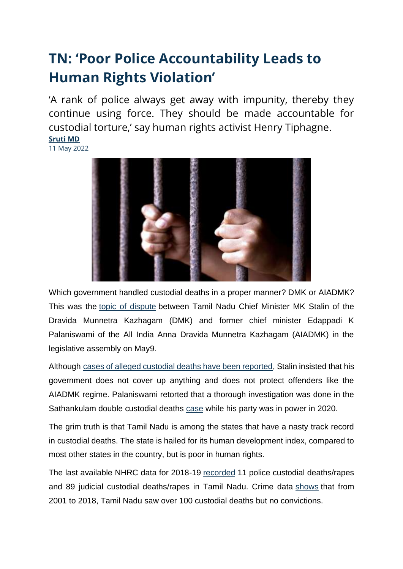## **[TN: 'Poor Police Accountability Leads to](https://www.newsclick.in/TN-Poor-Police-Accountability-Leads-Human-Rights-Violation)  [Human Rights Violation'](https://www.newsclick.in/TN-Poor-Police-Accountability-Leads-Human-Rights-Violation)**

'A rank of police always get away with impunity, thereby they continue using force. They should be made accountable for custodial torture,' say human rights activist Henry Tiphagne. **[Sruti MD](https://www.newsclick.in/author/Sruti%20MD)**

11 May 2022



Which government handled custodial deaths in a proper manner? DMK or AIADMK? This was the [topic of dispute](https://timesofindia.indiatimes.com/city/chennai/tn-govt-has-nothing-to-hide-on-custodial-deaths-effectively-tackling-crimes-cm-m-k-stalin/articleshow/91450144.cms) between Tamil Nadu Chief Minister MK Stalin of the Dravida Munnetra Kazhagam (DMK) and former chief minister Edappadi K Palaniswami of the All India Anna Dravida Munnetra Kazhagam (AIADMK) in the legislative assembly on May9.

Although [cases of alleged custodial deaths have been reported,](https://www.newsclick.in/DMK-Silent-Custodial-Death-25-year-old-man-Family-Alleges-Torture) Stalin insisted that his government does not cover up anything and does not protect offenders like the AIADMK regime. Palaniswami retorted that a thorough investigation was done in the Sathankulam double custodial deaths [case](https://www.newsclick.in/Thoothukudi-Custodial-Deaths-Tamil-Nadu-Police-Brutal-Treatment-Suspects) while his party was in power in 2020.

The grim truth is that Tamil Nadu is among the states that have a nasty track record in custodial deaths. The state is hailed for its human development index, compared to most other states in the country, but is poor in human rights.

The last available NHRC data for 2018-19 [recorded](https://nhrc.nic.in/sites/default/files/Annual%20Report%202018-29_final.pdf) 11 police custodial deaths/rapes and 89 judicial custodial deaths/rapes in Tamil Nadu. Crime data [shows](https://www.newindianexpress.com/opinions/editorials/2022/may/06/the-perennial-maladyof-custodial-violence-2450300.html) that from 2001 to 2018, Tamil Nadu saw over 100 custodial deaths but no convictions.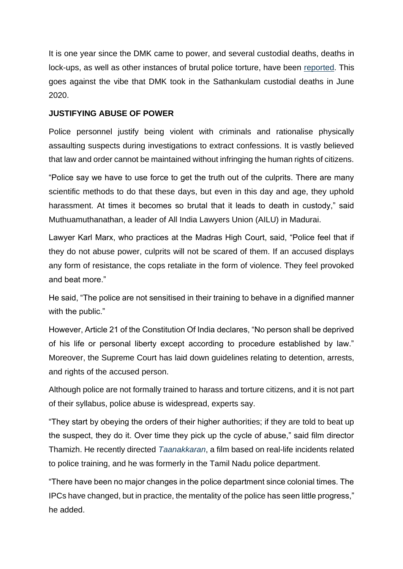It is one year since the DMK came to power, and several custodial deaths, deaths in lock-ups, as well as other instances of brutal police torture, have been [reported.](https://www.newsclick.in/TN-incidents-custodial-torture-continue-DMK-govt-end-practice) This goes against the vibe that DMK took in the Sathankulam custodial deaths in June 2020.

## **JUSTIFYING ABUSE OF POWER**

Police personnel justify being violent with criminals and rationalise physically assaulting suspects during investigations to extract confessions. It is vastly believed that law and order cannot be maintained without infringing the human rights of citizens.

"Police say we have to use force to get the truth out of the culprits. There are many scientific methods to do that these days, but even in this day and age, they uphold harassment. At times it becomes so brutal that it leads to death in custody," said Muthuamuthanathan, a leader of All India Lawyers Union (AILU) in Madurai.

Lawyer Karl Marx, who practices at the Madras High Court, said, "Police feel that if they do not abuse power, culprits will not be scared of them. If an accused displays any form of resistance, the cops retaliate in the form of violence. They feel provoked and beat more."

He said, "The police are not sensitised in their training to behave in a dignified manner with the public."

However, Article 21 of the Constitution Of India declares, "No person shall be deprived of his life or personal liberty except according to procedure established by law." Moreover, the Supreme Court has laid down guidelines relating to detention, arrests, and rights of the accused person.

Although police are not formally trained to harass and torture citizens, and it is not part of their syllabus, police abuse is widespread, experts say.

"They start by obeying the orders of their higher authorities; if they are told to beat up the suspect, they do it. Over time they pick up the cycle of abuse," said film director Thamizh. He recently directed *[Taanakkaran](https://www.hotstar.com/in/movies/taanakkaran/1260090727)*, a film based on real-life incidents related to police training, and he was formerly in the Tamil Nadu police department.

"There have been no major changes in the police department since colonial times. The IPCs have changed, but in practice, the mentality of the police has seen little progress," he added.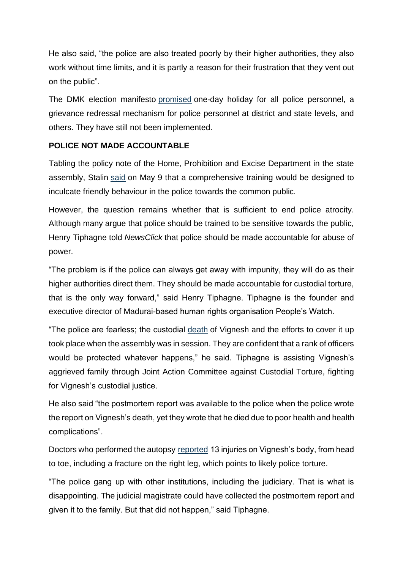He also said, "the police are also treated poorly by their higher authorities, they also work without time limits, and it is partly a reason for their frustration that they vent out on the public".

The DMK election manifesto [promised](https://www.dmk.in/dmk-manifesto-english-2021) one-day holiday for all police personnel, a grievance redressal mechanism for police personnel at district and state levels, and others. They have still not been implemented.

## **POLICE NOT MADE ACCOUNTABLE**

Tabling the policy note of the Home, Prohibition and Excise Department in the state assembly, Stalin [said](https://www.thehindu.com/news/national/tamil-nadu/govt-will-ensure-that-police-force-serves-public-with-a-human-touch-stalin/article65397545.ece?homepage=true) on May 9 that a comprehensive training would be designed to inculcate friendly behaviour in the police towards the common public.

However, the question remains whether that is sufficient to end police atrocity. Although many argue that police should be trained to be sensitive towards the public, Henry Tiphagne told *NewsClick* that police should be made accountable for abuse of power.

"The problem is if the police can always get away with impunity, they will do as their higher authorities direct them. They should be made accountable for custodial torture, that is the only way forward," said Henry Tiphagne. Tiphagne is the founder and executive director of Madurai-based human rights organisation People's Watch.

"The police are fearless; the custodial [death](https://www.newsclick.in/DMK-Silent-Custodial-Death-25-year-old-man-Family-Alleges-Torture) of Vignesh and the efforts to cover it up took place when the assembly was in session. They are confident that a rank of officers would be protected whatever happens," he said. Tiphagne is assisting Vignesh's aggrieved family through Joint Action Committee against Custodial Torture, fighting for Vignesh's custodial justice.

He also said "the postmortem report was available to the police when the police wrote the report on Vignesh's death, yet they wrote that he died due to poor health and health complications".

Doctors who performed the autopsy [reported](https://www.newindianexpress.com/states/tamil-nadu/2022/may/05/custodial-death-vignesh-had-13-injuries-shows-autopsy-2449878.html) 13 injuries on Vignesh's body, from head to toe, including a fracture on the right leg, which points to likely police torture.

"The police gang up with other institutions, including the judiciary. That is what is disappointing. The judicial magistrate could have collected the postmortem report and given it to the family. But that did not happen," said Tiphagne.